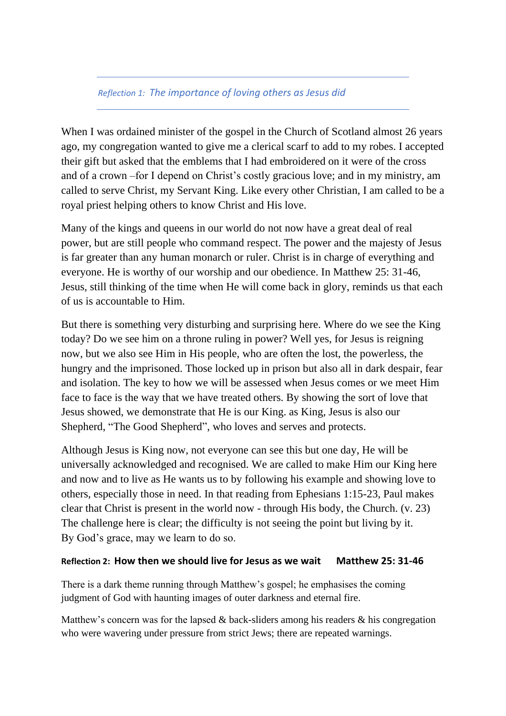## *Reflection 1: The importance of loving others as Jesus did*

When I was ordained minister of the gospel in the Church of Scotland almost 26 years ago, my congregation wanted to give me a clerical scarf to add to my robes. I accepted their gift but asked that the emblems that I had embroidered on it were of the cross and of a crown –for I depend on Christ's costly gracious love; and in my ministry, am called to serve Christ, my Servant King. Like every other Christian, I am called to be a royal priest helping others to know Christ and His love.

Many of the kings and queens in our world do not now have a great deal of real power, but are still people who command respect. The power and the majesty of Jesus is far greater than any human monarch or ruler. Christ is in charge of everything and everyone. He is worthy of our worship and our obedience. In Matthew 25: 31-46, Jesus, still thinking of the time when He will come back in glory, reminds us that each of us is accountable to Him.

But there is something very disturbing and surprising here. Where do we see the King today? Do we see him on a throne ruling in power? Well yes, for Jesus is reigning now, but we also see Him in His people, who are often the lost, the powerless, the hungry and the imprisoned. Those locked up in prison but also all in dark despair, fear and isolation. The key to how we will be assessed when Jesus comes or we meet Him face to face is the way that we have treated others. By showing the sort of love that Jesus showed, we demonstrate that He is our King. as King, Jesus is also our Shepherd, "The Good Shepherd", who loves and serves and protects.

Although Jesus is King now, not everyone can see this but one day, He will be universally acknowledged and recognised. We are called to make Him our King here and now and to live as He wants us to by following his example and showing love to others, especially those in need. In that reading from Ephesians 1:15-23, Paul makes clear that Christ is present in the world now - through His body, the Church. (v. 23) The challenge here is clear; the difficulty is not seeing the point but living by it. By God's grace, may we learn to do so.

## **Reflection 2: How then we should live for Jesus as we wait Matthew 25: 31-46**

There is a dark theme running through Matthew's gospel; he emphasises the coming judgment of God with haunting images of outer darkness and eternal fire.

Matthew's concern was for the lapsed  $\&$  back-sliders among his readers  $\&$  his congregation who were wavering under pressure from strict Jews; there are repeated warnings.